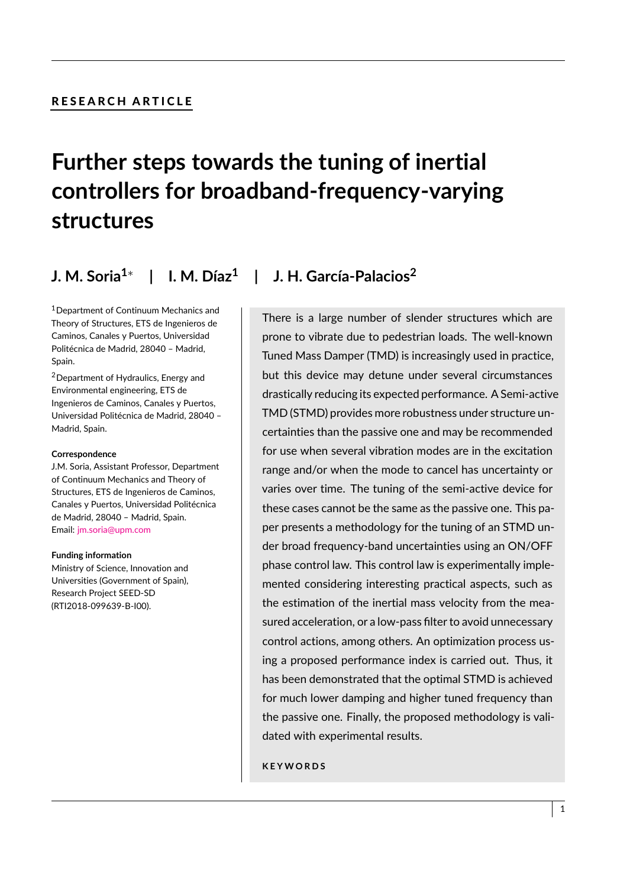## RESEARCH ARTICLE

# **Further steps towards the tuning of inertial controllers for broadband-frequency-varying structures**

**J. M. Soria1**<sup>∗</sup> **| I. M. Díaz<sup>1</sup> | J. H. García-Palacios<sup>2</sup>**

<sup>1</sup>Department of Continuum Mechanics and Theory of Structures, ETS de Ingenieros de Caminos, Canales y Puertos, Universidad Politécnica de Madrid, 28040 – Madrid, Spain.

<sup>2</sup>Department of Hydraulics, Energy and Environmental engineering, ETS de Ingenieros de Caminos, Canales y Puertos, Universidad Politécnica de Madrid, 28040 – Madrid, Spain.

#### **Correspondence**

J.M. Soria, Assistant Professor, Department of Continuum Mechanics and Theory of Structures, ETS de Ingenieros de Caminos, Canales y Puertos, Universidad Politécnica de Madrid, 28040 – Madrid, Spain. Email: [jm.soria@upm.com](mailto:jm.soria@upm.com)

#### **Funding information**

Ministry of Science, Innovation and Universities (Government of Spain), Research Project SEED-SD (RTI2018-099639-B-I00).

There is a large number of slender structures which are prone to vibrate due to pedestrian loads. The well-known Tuned Mass Damper (TMD) is increasingly used in practice, but this device may detune under several circumstances drastically reducing its expected performance. A Semi-active TMD (STMD) provides more robustness under structure uncertainties than the passive one and may be recommended for use when several vibration modes are in the excitation range and/or when the mode to cancel has uncertainty or varies over time. The tuning of the semi-active device for these cases cannot be the same as the passive one. This paper presents a methodology for the tuning of an STMD under broad frequency-band uncertainties using an ON/OFF phase control law. This control law is experimentally implemented considering interesting practical aspects, such as the estimation of the inertial mass velocity from the measured acceleration, or a low-pass filter to avoid unnecessary control actions, among others. An optimization process using a proposed performance index is carried out. Thus, it has been demonstrated that the optimal STMD is achieved for much lower damping and higher tuned frequency than the passive one. Finally, the proposed methodology is validated with experimental results.

**K E Y W O R D S**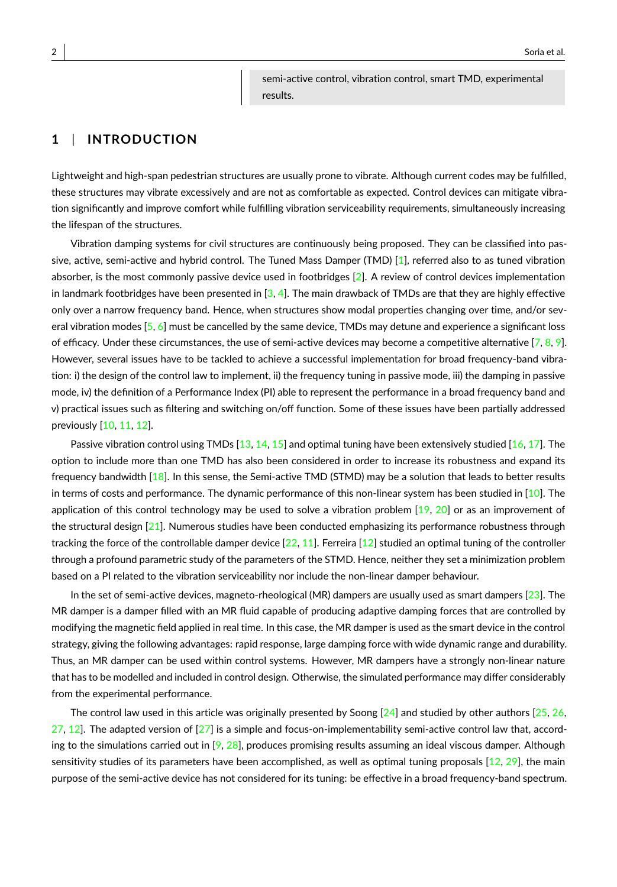semi-active control, vibration control, smart TMD, experimental results.

## **1** | **INTRODUCTION**

Lightweight and high-span pedestrian structures are usually prone to vibrate. Although current codes may be fulfilled, these structures may vibrate excessively and are not as comfortable as expected. Control devices can mitigate vibration significantly and improve comfort while fulfilling vibration serviceability requirements, simultaneously increasing the lifespan of the structures.

Vibration damping systems for civil structures are continuously being proposed. They can be classified into pas-sive, active, semi-active and hybrid control. The Tuned Mass Damper (TMD) [\[1\]](#page-20-0), referred also to as tuned vibration absorber, is the most commonly passive device used in footbridges  $[2]$ . A review of control devices implementation in landmark footbridges have been presented in  $[3, 4]$  $[3, 4]$  $[3, 4]$ . The main drawback of TMDs are that they are highly effective only over a narrow frequency band. Hence, when structures show modal properties changing over time, and/or several vibration modes  $[5, 6]$  $[5, 6]$  $[5, 6]$  must be cancelled by the same device, TMDs may detune and experience a significant loss of efficacy. Under these circumstances, the use of semi-active devices may become a competitive alternative  $[7, 8, 9]$  $[7, 8, 9]$  $[7, 8, 9]$  $[7, 8, 9]$  $[7, 8, 9]$ . However, several issues have to be tackled to achieve a successful implementation for broad frequency-band vibration: i) the design of the control law to implement, ii) the frequency tuning in passive mode, iii) the damping in passive mode, iv) the definition of a Performance Index (PI) able to represent the performance in a broad frequency band and v) practical issues such as filtering and switching on/off function. Some of these issues have been partially addressed previously [\[10,](#page-20-9) [11,](#page-20-10) [12\]](#page-20-11).

Passive vibration control using TMDs  $[13, 14, 15]$  $[13, 14, 15]$  $[13, 14, 15]$  $[13, 14, 15]$  $[13, 14, 15]$  and optimal tuning have been extensively studied  $[16, 17]$  $[16, 17]$  $[16, 17]$ . The option to include more than one TMD has also been considered in order to increase its robustness and expand its frequency bandwidth [\[18\]](#page-21-2). In this sense, the Semi-active TMD (STMD) may be a solution that leads to better results in terms of costs and performance. The dynamic performance of this non-linear system has been studied in  $[10]$ . The application of this control technology may be used to solve a vibration problem  $[19, 20]$  $[19, 20]$  $[19, 20]$  or as an improvement of the structural design [\[21\]](#page-21-5). Numerous studies have been conducted emphasizing its performance robustness through tracking the force of the controllable damper device  $[22, 11]$  $[22, 11]$  $[22, 11]$ . Ferreira  $[12]$  studied an optimal tuning of the controller through a profound parametric study of the parameters of the STMD. Hence, neither they set a minimization problem based on a PI related to the vibration serviceability nor include the non-linear damper behaviour.

In the set of semi-active devices, magneto-rheological (MR) dampers are usually used as smart dampers  $[23]$ . The MR damper is a damper filled with an MR fluid capable of producing adaptive damping forces that are controlled by modifying the magnetic field applied in real time. In this case, the MR damper is used as the smart device in the control strategy, giving the following advantages: rapid response, large damping force with wide dynamic range and durability. Thus, an MR damper can be used within control systems. However, MR dampers have a strongly non-linear nature that has to be modelled and included in control design. Otherwise, the simulated performance may differ considerably from the experimental performance.

The control law used in this article was originally presented by Soong  $[24]$  and studied by other authors  $[25, 26, 16]$  $[25, 26, 16]$  $[25, 26, 16]$  $[25, 26, 16]$  $27, 12$  $27, 12$ ]. The adapted version of  $[27]$  is a simple and focus-on-implementability semi-active control law that, according to the simulations carried out in  $[9, 28]$  $[9, 28]$  $[9, 28]$ , produces promising results assuming an ideal viscous damper. Although sensitivity studies of its parameters have been accomplished, as well as optimal tuning proposals  $[12, 29]$  $[12, 29]$  $[12, 29]$ , the main purpose of the semi-active device has not considered for its tuning: be effective in a broad frequency-band spectrum.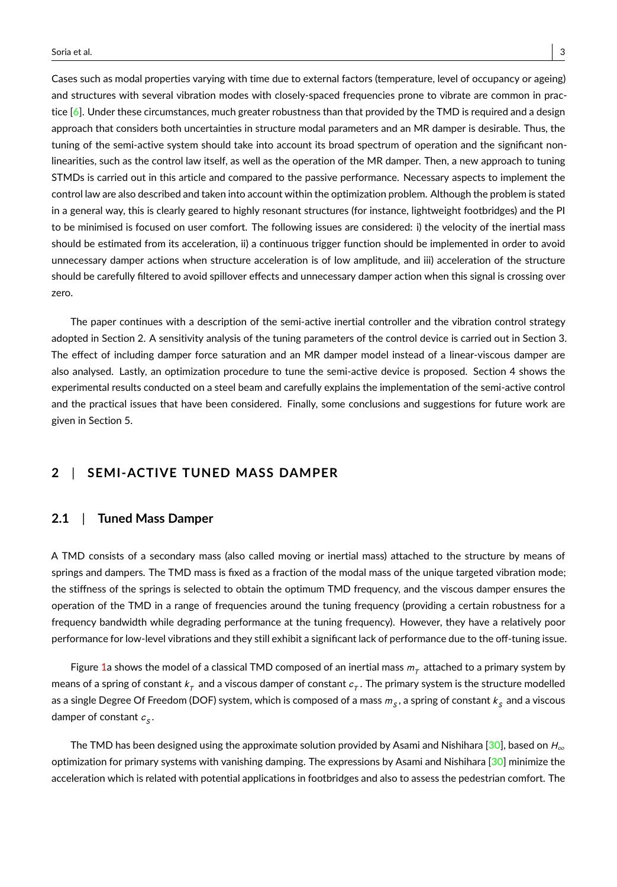Cases such as modal properties varying with time due to external factors (temperature, level of occupancy or ageing) and structures with several vibration modes with closely-spaced frequencies prone to vibrate are common in practice  $[6]$ . Under these circumstances, much greater robustness than that provided by the TMD is required and a design approach that considers both uncertainties in structure modal parameters and an MR damper is desirable. Thus, the tuning of the semi-active system should take into account its broad spectrum of operation and the significant nonlinearities, such as the control law itself, as well as the operation of the MR damper. Then, a new approach to tuning STMDs is carried out in this article and compared to the passive performance. Necessary aspects to implement the control law are also described and taken into account within the optimization problem. Although the problem is stated in a general way, this is clearly geared to highly resonant structures (for instance, lightweight footbridges) and the PI to be minimised is focused on user comfort. The following issues are considered: i) the velocity of the inertial mass should be estimated from its acceleration, ii) a continuous trigger function should be implemented in order to avoid unnecessary damper actions when structure acceleration is of low amplitude, and iii) acceleration of the structure should be carefully filtered to avoid spillover effects and unnecessary damper action when this signal is crossing over zero.

The paper continues with a description of the semi-active inertial controller and the vibration control strategy adopted in Section 2. A sensitivity analysis of the tuning parameters of the control device is carried out in Section 3. The effect of including damper force saturation and an MR damper model instead of a linear-viscous damper are also analysed. Lastly, an optimization procedure to tune the semi-active device is proposed. Section 4 shows the experimental results conducted on a steel beam and carefully explains the implementation of the semi-active control and the practical issues that have been considered. Finally, some conclusions and suggestions for future work are given in Section 5.

## **2** | **SEMI-ACTIVE TUNED MASS DAMPER**

## **2.1** | **Tuned Mass Damper**

A TMD consists of a secondary mass (also called moving or inertial mass) attached to the structure by means of springs and dampers. The TMD mass is fixed as a fraction of the modal mass of the unique targeted vibration mode; the stiffness of the springs is selected to obtain the optimum TMD frequency, and the viscous damper ensures the operation of the TMD in a range of frequencies around the tuning frequency (providing a certain robustness for a frequency bandwidth while degrading performance at the tuning frequency). However, they have a relatively poor performance for low-level vibrations and they still exhibit a significant lack of performance due to the off-tuning issue.

Figure [1a](#page-3-0) shows the model of a classical TMD composed of an inertial mass  $m_\tau$  attached to a primary system by means of a spring of constant  $k_\tau$  and a viscous damper of constant  $c_\tau.$  The primary system is the structure modelled as a single Degree Of Freedom (DOF) system, which is composed of a mass  $m_{_S},$  a spring of constant  $k_{_S}$  and a viscous damper of constant  $c_{\mathcal{S}}.$ 

The TMD has been designed using the approximate solution provided by Asami and Nishihara [\[30\]](#page-21-14), based on  $H_{\infty}$ optimization for primary systems with vanishing damping. The expressions by Asami and Nishihara [\[30\]](#page-21-14) minimize the acceleration which is related with potential applications in footbridges and also to assess the pedestrian comfort. The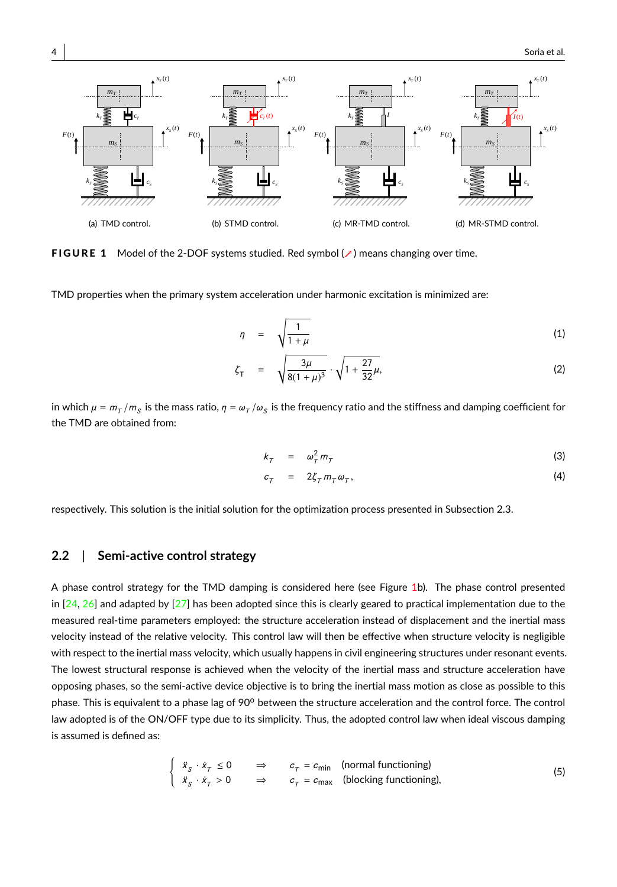<span id="page-3-0"></span>

FIGURE 1 Model of the 2-DOF systems studied. Red symbol (∧) means changing over time.

TMD properties when the primary system acceleration under harmonic excitation is minimized are:

<span id="page-3-3"></span>
$$
\eta = \sqrt{\frac{1}{1+\mu}} \tag{1}
$$

$$
\zeta_{\mathsf{T}} = \sqrt{\frac{3\mu}{8(1+\mu)^3}} \cdot \sqrt{1+\frac{27}{32}\mu},\tag{2}
$$

in which  $\mu$  =  $m_\tau/m_S$  is the mass ratio,  $\eta$  =  $\omega_\tau/\omega_S$  is the frequency ratio and the stiffness and damping coefficient for the TMD are obtained from:

<span id="page-3-1"></span>
$$
k_T = \omega_T^2 m_T \tag{3}
$$

$$
c_{\tau} = 2\zeta_{\tau} m_{\tau} \omega_{\tau}, \qquad (4)
$$

respectively. This solution is the initial solution for the optimization process presented in Subsection 2.3.

## **2.2** | **Semi-active control strategy**

A phase control strategy for the TMD damping is considered here (see Figure [1b](#page-3-0)). The phase control presented in  $[24, 26]$  $[24, 26]$  $[24, 26]$  and adapted by  $[27]$  has been adopted since this is clearly geared to practical implementation due to the measured real-time parameters employed: the structure acceleration instead of displacement and the inertial mass velocity instead of the relative velocity. This control law will then be effective when structure velocity is negligible with respect to the inertial mass velocity, which usually happens in civil engineering structures under resonant events. The lowest structural response is achieved when the velocity of the inertial mass and structure acceleration have opposing phases, so the semi-active device objective is to bring the inertial mass motion as close as possible to this phase. This is equivalent to a phase lag of 90° between the structure acceleration and the control force. The control law adopted is of the ON/OFF type due to its simplicity. Thus, the adopted control law when ideal viscous damping is assumed is defined as:

<span id="page-3-2"></span>
$$
\begin{cases}\n\ddot{x}_{S} \cdot \dot{x}_{T} \le 0 & \Rightarrow & c_{T} = c_{\text{min}} \quad \text{(normal functioning)} \\
\ddot{x}_{S} \cdot \dot{x}_{T} > 0 & \Rightarrow & c_{T} = c_{\text{max}} \quad \text{(blocking functioning)},\n\end{cases}
$$
\n(5)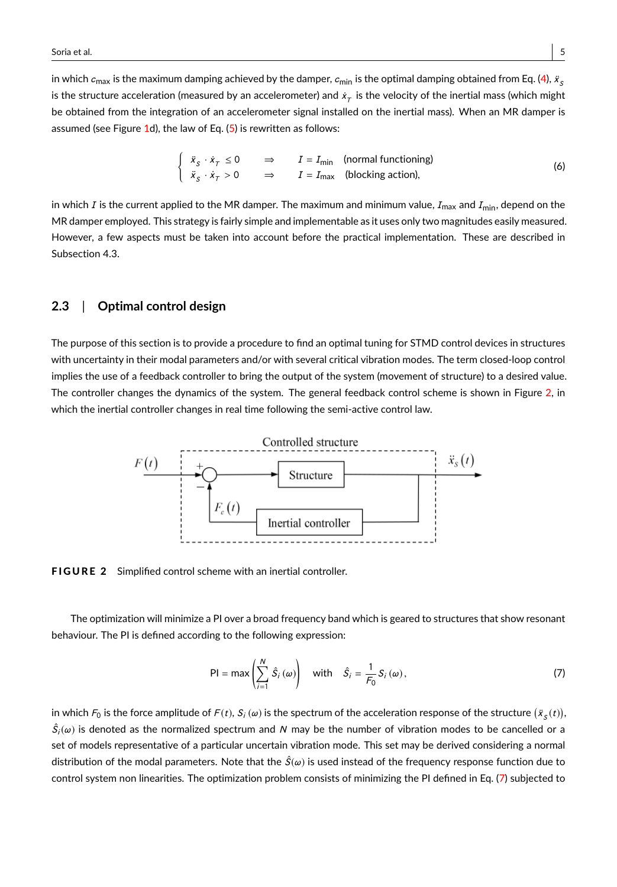in which  $c_{\sf max}$  is the maximum damping achieved by the damper,  $c_{\sf min}$  is the optimal damping obtained from Eq. [\(4\)](#page-3-1),  $\ddot{x}_{_\text{S}}$ is the structure acceleration (measured by an accelerometer) and  $\dot{\rm x}_{\tau}$  is the velocity of the inertial mass (which might be obtained from the integration of an accelerometer signal installed on the inertial mass). When an MR damper is assumed (see Figure [1d](#page-3-0)), the law of Eq.  $(5)$  is rewritten as follows:

<span id="page-4-2"></span>
$$
\begin{cases}\n\ddot{x}_{S} \cdot \dot{x}_{T} \leq 0 & \Rightarrow \qquad I = I_{\text{min}} \quad \text{(normal functioning)} \\
\ddot{x}_{S} \cdot \dot{x}_{T} > 0 & \Rightarrow \qquad I = I_{\text{max}} \quad \text{(blocking action)},\n\end{cases}
$$
\n(6)

in which I is the current applied to the MR damper. The maximum and minimum value,  $I_{\text{max}}$  and  $I_{\text{min}}$ , depend on the MR damper employed. This strategy is fairly simple and implementable as it uses only two magnitudes easily measured. However, a few aspects must be taken into account before the practical implementation. These are described in Subsection 4.3.

#### **2.3** | **Optimal control design**

The purpose of this section is to provide a procedure to find an optimal tuning for STMD control devices in structures with uncertainty in their modal parameters and/or with several critical vibration modes. The term closed-loop control implies the use of a feedback controller to bring the output of the system (movement of structure) to a desired value. The controller changes the dynamics of the system. The general feedback control scheme is shown in Figure [2,](#page-4-0) in which the inertial controller changes in real time following the semi-active control law.

<span id="page-4-0"></span>

FIGURE 2 Simplified control scheme with an inertial controller.

The optimization will minimize a PI over a broad frequency band which is geared to structures that show resonant behaviour. The PI is defined according to the following expression:

<span id="page-4-1"></span>
$$
\mathsf{PI} = \max\left(\sum_{i=1}^{N} \hat{S}_i\left(\omega\right)\right) \quad \text{with} \quad \hat{S}_i = \frac{1}{F_0} S_i\left(\omega\right),\tag{7}
$$

in which  $\digamma_0$  is the force amplitude of  $F(t)$ ,  $S_i(\omega)$  is the spectrum of the acceleration response of the structure  $(\ddot{x}_S(t))$ ,  $\hat{S}_i(\omega)$  is denoted as the normalized spectrum and N may be the number of vibration modes to be cancelled or a set of models representative of a particular uncertain vibration mode. This set may be derived considering a normal distribution of the modal parameters. Note that the  $\hat{S}(\omega)$  is used instead of the frequency response function due to control system non linearities. The optimization problem consists of minimizing the PI defined in Eq. [\(7\)](#page-4-1) subjected to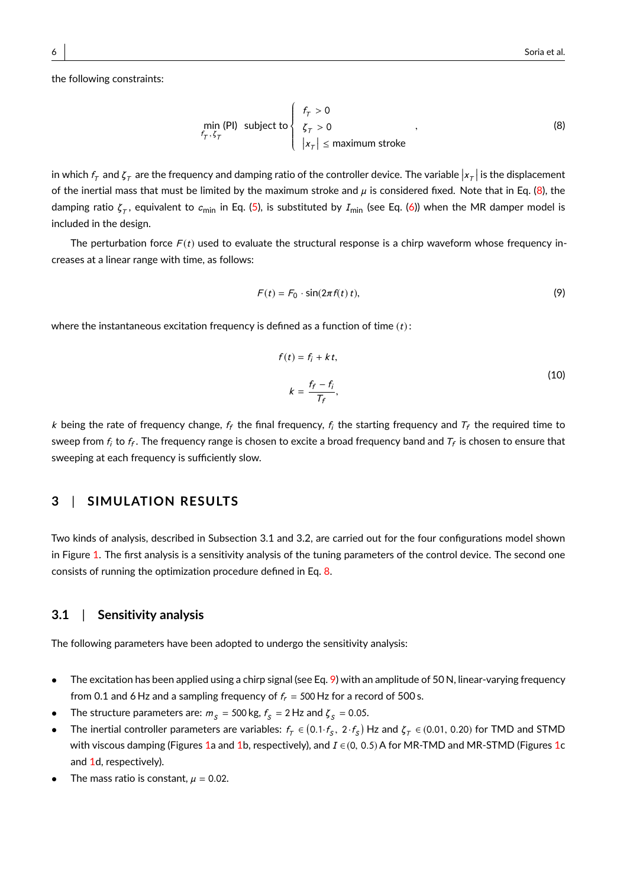the following constraints:

<span id="page-5-0"></span>
$$
\min_{f_T, \zeta_T} (PI) \text{ subject to } \begin{cases} f_T > 0 \\ \zeta_T > 0 \\ |x_T| \le \text{maximum stroke} \end{cases}, \tag{8}
$$

in which  $f_\tau$  and  $\zeta_\tau$  are the frequency and damping ratio of the controller device. The variable  $|x_\tau|$  is the displacement of the inertial mass that must be limited by the maximum stroke and  $\mu$  is considered fixed. Note that in Eq. [\(8\)](#page-5-0), the damping ratio  $\zeta_\tau,$  equivalent to  $c_{\sf min}$  in Eq. [\(5\)](#page-3-2), is substituted by  $I_{\sf min}$  (see Eq. [\(6\)](#page-4-2)) when the MR damper model is included in the design.

J.

The perturbation force  $F(t)$  used to evaluate the structural response is a chirp waveform whose frequency increases at a linear range with time, as follows:

<span id="page-5-1"></span>
$$
F(t) = F_0 \cdot \sin(2\pi f(t) t),
$$
\n(9)

where the instantaneous excitation frequency is defined as a function of time  $(t)$ :

$$
f(t) = f_i + kt,
$$
  
\n
$$
k = \frac{f_f - f_i}{T_f},
$$
\n(10)

k being the rate of frequency change,  $f_f$  the final frequency,  $f_i$  the starting frequency and  $T_f$  the required time to sweep from  $f_i$  to  $f_f$ . The frequency range is chosen to excite a broad frequency band and  $\tau_f$  is chosen to ensure that sweeping at each frequency is sufficiently slow.

## **3** | **SIMULATION RESULTS**

Two kinds of analysis, described in Subsection 3.1 and 3.2, are carried out for the four configurations model shown in Figure [1.](#page-3-0) The first analysis is a sensitivity analysis of the tuning parameters of the control device. The second one consists of running the optimization procedure defined in Eq. [8.](#page-5-0)

### **3.1** | **Sensitivity analysis**

The following parameters have been adopted to undergo the sensitivity analysis:

- The excitation has been applied using a chirp signal (see Eq. [9\)](#page-5-1) with an amplitude of 50 N, linear-varying frequency from 0.1 and 6 Hz and a sampling frequency of  $f_r = 500$  Hz for a record of 500 s.
- The structure parameters are:  $m_S = 500 \text{ kg}$ ,  $f_S = 2 \text{ Hz}$  and  $\zeta_S = 0.05$ .
- The inertial controller parameters are variables:  $f_T \in (0.1 \cdot f_S, 2 \cdot f_S)$  Hz and  $\zeta_T \in (0.01, 0.20)$  for TMD and STMD with viscous damping (Figures [1a](#page-3-0) and [1b](#page-3-0), respectively), and  $I \in (0, 0.5)$  A for MR-TMD and MR-STMD (Figures [1c](#page-3-0) and [1d](#page-3-0), respectively).
- The mass ratio is constant,  $\mu = 0.02$ .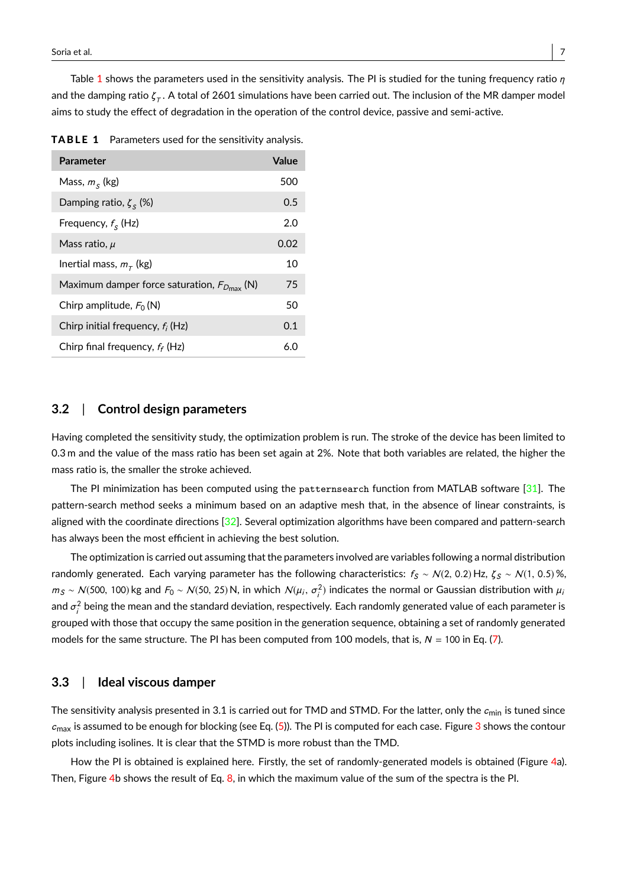Table [1](#page-6-0) shows the parameters used in the sensitivity analysis. The PI is studied for the tuning frequency ratio  $\eta$ and the damping ratio  $\zeta_\tau.$  A total of 2601 simulations have been carried out. The inclusion of the MR damper model aims to study the effect of degradation in the operation of the control device, passive and semi-active.

<span id="page-6-0"></span>

|  |  |  |  | <b>TABLE 1</b> Parameters used for the sensitivity analysis. |  |  |
|--|--|--|--|--------------------------------------------------------------|--|--|
|--|--|--|--|--------------------------------------------------------------|--|--|

| Parameter                                                 | Value |
|-----------------------------------------------------------|-------|
| Mass, $m_s$ (kg)                                          | 500   |
| Damping ratio, $\zeta_{s}$ (%)                            | 0.5   |
| Frequency, $f_s$ (Hz)                                     | 2.0   |
| Mass ratio, $\mu$                                         | 0.02  |
| Inertial mass, $m_{\tau}$ (kg)                            | 10    |
| Maximum damper force saturation, $F_{D_{\text{max}}}$ (N) | 75    |
| Chirp amplitude, $F_0(N)$                                 | 50    |
| Chirp initial frequency, $f_i$ (Hz)                       | 0.1   |
| Chirp final frequency, $f_f$ (Hz)                         | 6.0   |

#### **3.2** | **Control design parameters**

Having completed the sensitivity study, the optimization problem is run. The stroke of the device has been limited to 0.3 m and the value of the mass ratio has been set again at 2%. Note that both variables are related, the higher the mass ratio is, the smaller the stroke achieved.

The PI minimization has been computed using the patternsearch function from MATLAB software [\[31\]](#page-21-15). The pattern-search method seeks a minimum based on an adaptive mesh that, in the absence of linear constraints, is aligned with the coordinate directions [\[32\]](#page-21-16). Several optimization algorithms have been compared and pattern-search has always been the most efficient in achieving the best solution.

The optimization is carried out assuming that the parameters involved are variables following a normal distribution randomly generated. Each varying parameter has the following characteristics:  $f_S \sim N(2, 0.2)$  Hz,  $\zeta_S \sim N(1, 0.5)$ %,  $m_S \sim N(500, 100)$  kg and  $F_0 \sim N(50, 25)$  N, in which  $N(\mu_i, \sigma_i^2)$  indicates the normal or Gaussian distribution with  $\mu_i$ and  $\sigma^2_{i}$  being the mean and the standard deviation, respectively. Each randomly generated value of each parameter is grouped with those that occupy the same position in the generation sequence, obtaining a set of randomly generated models for the same structure. The PI has been computed from 100 models, that is,  $N = 100$  in Eq. [\(7\)](#page-4-1).

#### **3.3** | **Ideal viscous damper**

The sensitivity analysis presented in 3.1 is carried out for TMD and STMD. For the latter, only the  $c_{\min}$  is tuned since  $c_{\text{max}}$  is assumed to be enough for blocking (see Eq. [\(5\)](#page-3-2)). The PI is computed for each case. Figure [3](#page-7-0) shows the contour plots including isolines. It is clear that the STMD is more robust than the TMD.

How the PI is obtained is explained here. Firstly, the set of randomly-generated models is obtained (Figure [4a](#page-8-0)). Then, Figure [4b](#page-8-0) shows the result of Eq. [8,](#page-5-0) in which the maximum value of the sum of the spectra is the PI.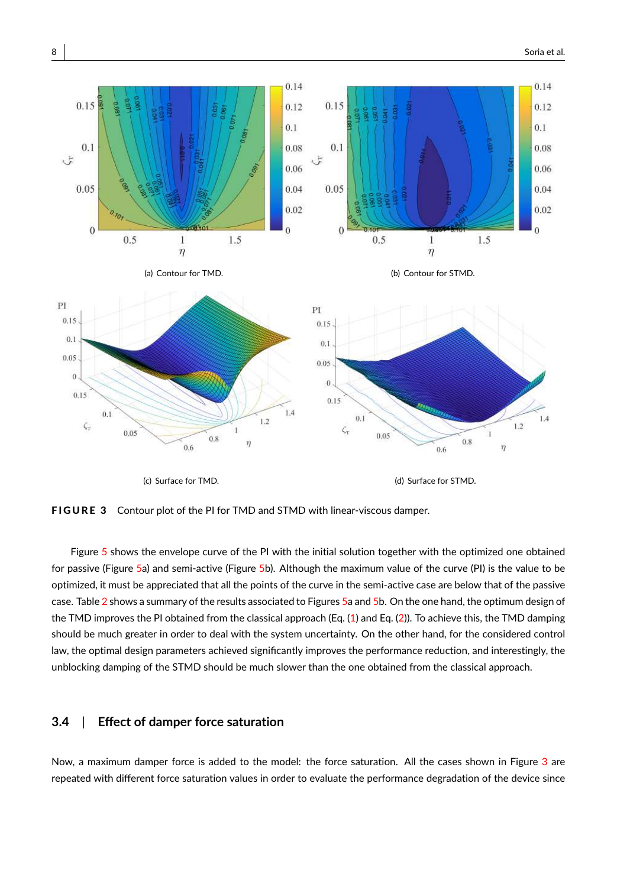<span id="page-7-0"></span>

FIGURE 3 Contour plot of the PI for TMD and STMD with linear-viscous damper.

Figure [5](#page-8-1) shows the envelope curve of the PI with the initial solution together with the optimized one obtained for passive (Figure [5a](#page-8-1)) and semi-active (Figure [5b](#page-8-1)). Although the maximum value of the curve (PI) is the value to be optimized, it must be appreciated that all the points of the curve in the semi-active case are below that of the passive case. Table [2](#page-9-0) shows a summary of the results associated to Figures [5a](#page-8-1) and [5b](#page-8-1). On the one hand, the optimum design of the TMD improves the PI obtained from the classical approach (Eq.  $(1)$  and Eq.  $(2)$ ). To achieve this, the TMD damping should be much greater in order to deal with the system uncertainty. On the other hand, for the considered control law, the optimal design parameters achieved significantly improves the performance reduction, and interestingly, the unblocking damping of the STMD should be much slower than the one obtained from the classical approach.

## **3.4** | **Effect of damper force saturation**

Now, a maximum damper force is added to the model: the force saturation. All the cases shown in Figure [3](#page-7-0) are repeated with different force saturation values in order to evaluate the performance degradation of the device since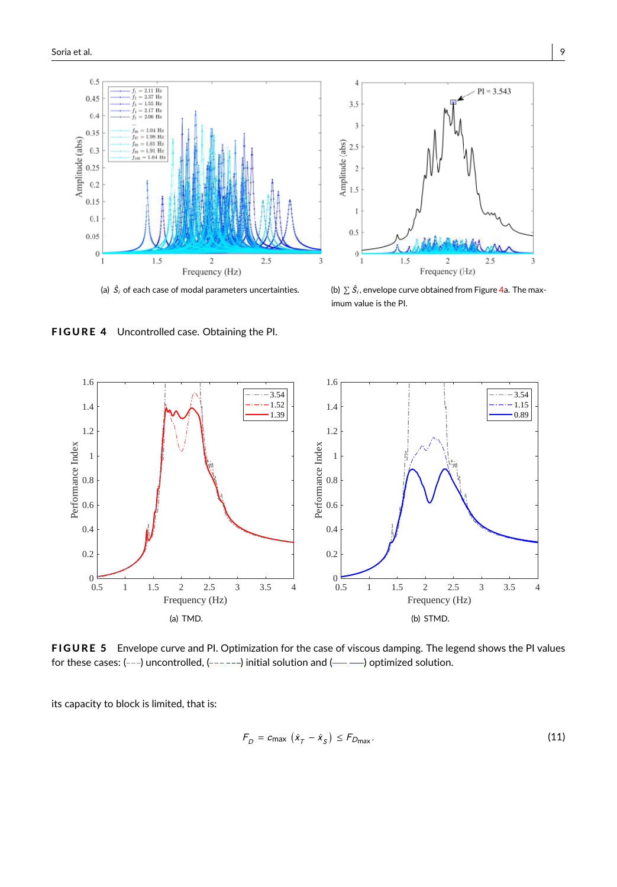<span id="page-8-0"></span>



(a)  $\hat{S}_i$  of each case of modal parameters uncertainties.  $\qquad\qquad$  (b)  $\sum$ 

 $\hat{\mathcal{S}}_i$ , envelope curve obtained from Figure [4a](#page-8-0). The maximum value is the PI.

FIGURE 4 Uncontrolled case. Obtaining the PI.

<span id="page-8-1"></span>

FIGURE 5 Envelope curve and PI. Optimization for the case of viscous damping. The legend shows the PI values for these cases:  $(--)$  uncontrolled,  $(----)$  initial solution and  $(---)$  optimized solution.

its capacity to block is limited, that is:

$$
F_D = c_{\text{max}} \left( \dot{x}_T - \dot{x}_S \right) \le F_{D_{\text{max}}}.\tag{11}
$$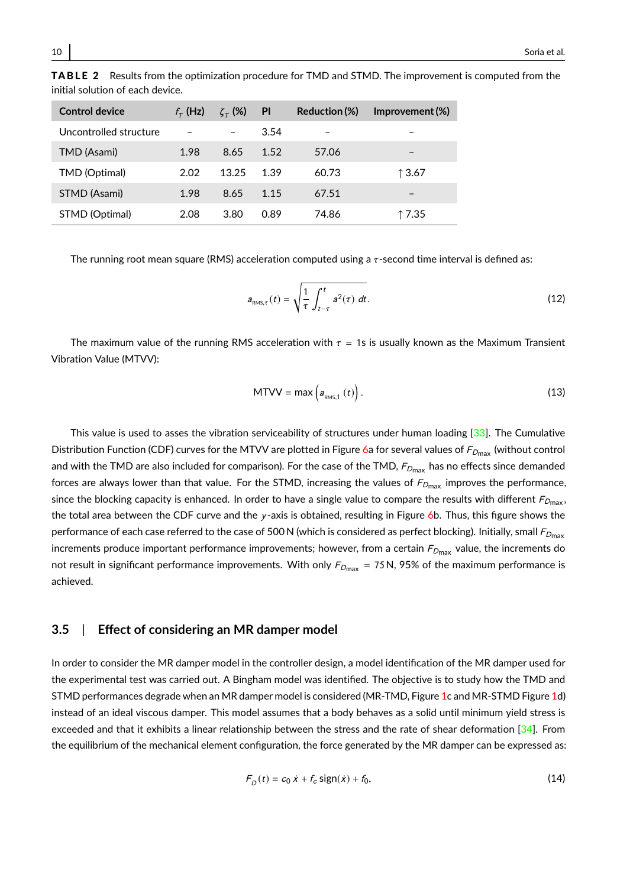| Control device         | $f_{\tau}$ (Hz) | $\zeta_{\tau}$ (%) | <b>PI</b> | Reduction (%) | Improvement (%) |
|------------------------|-----------------|--------------------|-----------|---------------|-----------------|
| Uncontrolled structure |                 |                    | 3.54      |               |                 |
| TMD (Asami)            | 1.98            | 8.65               | 1.52      | 57.06         | -               |
| TMD (Optimal)          | 2.02            | 13.25              | 1.39      | 60.73         | ↑3.67           |
| STMD (Asami)           | 1.98            | 8.65               | 1.15      | 67.51         | -               |
| STMD (Optimal)         | 2.08            | 3.80               | 0.89      | 74.86         | ↑7.35           |

<span id="page-9-0"></span>TABLE 2 Results from the optimization procedure for TMD and STMD. The improvement is computed from the initial solution of each device.

The running root mean square (RMS) acceleration computed using a  $\tau$ -second time interval is defined as:

<span id="page-9-2"></span>
$$
a_{\text{RMS},\tau}(t) = \sqrt{\frac{1}{\tau} \int_{t-\tau}^{t} a^2(\tau) dt}.
$$
 (12)

The maximum value of the running RMS acceleration with  $\tau = 1$ s is usually known as the Maximum Transient Vibration Value (MTVV):

$$
MTVV = \max\left(a_{\text{RMS},1}\left(t\right)\right). \tag{13}
$$

This value is used to asses the vibration serviceability of structures under human loading [\[33\]](#page-21-17). The Cumulative Distribution Function (CDF) curves for the MTVV are plotted in Figure [6a](#page-10-0) for several values of  $F_{Dmax}$  (without control and with the TMD are also included for comparison). For the case of the TMD,  $F_{D_{\text{max}}}$  has no effects since demanded forces are always lower than that value. For the STMD, increasing the values of  $F_{Dmax}$  improves the performance, since the blocking capacity is enhanced. In order to have a single value to compare the results with different  $F_{D_{\text{max}}}$ , the total area between the CDF curve and the y-axis is obtained, resulting in Figure [6b](#page-10-0). Thus, this figure shows the performance of each case referred to the case of 500 N (which is considered as perfect blocking). Initially, small  $F_{D_{\text{max}}}$ increments produce important performance improvements; however, from a certain  $F_{D_{\text{max}}}$  value, the increments do not result in significant performance improvements. With only  $F_{Dmax} = 75$  N, 95% of the maximum performance is achieved.

#### **3.5** | **Effect of considering an MR damper model**

In order to consider the MR damper model in the controller design, a model identification of the MR damper used for the experimental test was carried out. A Bingham model was identified. The objective is to study how the TMD and STMD performances degrade when an MR damper model is considered (MR-TMD, Figure [1c](#page-3-0) and MR-STMD Figure [1d](#page-3-0)) instead of an ideal viscous damper. This model assumes that a body behaves as a solid until minimum yield stress is exceeded and that it exhibits a linear relationship between the stress and the rate of shear deformation  $[34]$ . From the equilibrium of the mechanical element configuration, the force generated by the MR damper can be expressed as:

<span id="page-9-1"></span>
$$
F_D(t) = c_0 \dot{x} + f_c \text{sign}(\dot{x}) + f_0,
$$
\n(14)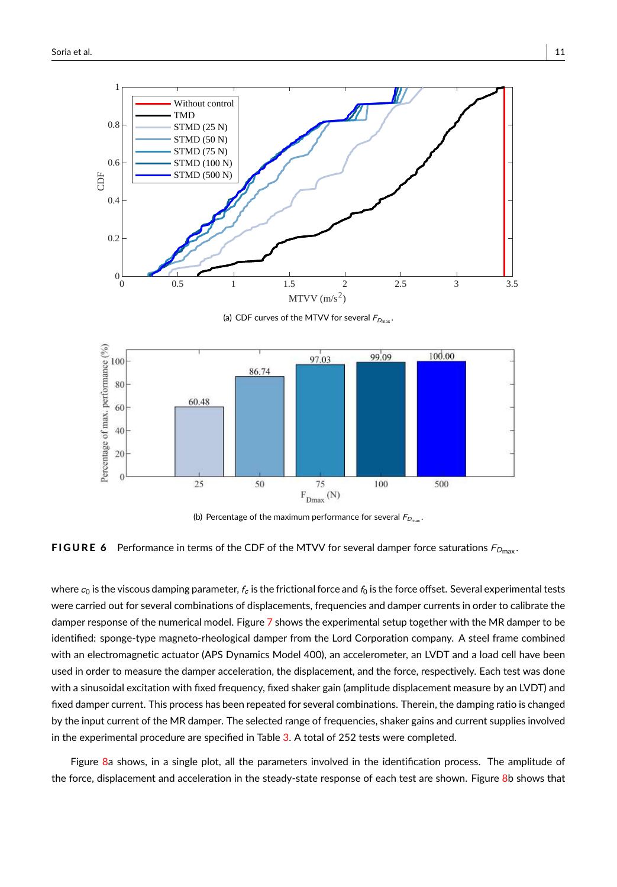<span id="page-10-0"></span>

(a) CDF curves of the MTVV for several  $F_{D_{\text{max}}}$ 



(b) Percentage of the maximum performance for several  $F_{D_{\text{max}}}$ .

**FIGURE 6** Performance in terms of the CDF of the MTVV for several damper force saturations  $F_{D_{\text{max}}}$ .

where  $c_0$  is the viscous damping parameter,  $f_c$  is the frictional force and  $f_0$  is the force offset. Several experimental tests were carried out for several combinations of displacements, frequencies and damper currents in order to calibrate the damper response of the numerical model. Figure [7](#page-11-0) shows the experimental setup together with the MR damper to be identified: sponge-type magneto-rheological damper from the Lord Corporation company. A steel frame combined with an electromagnetic actuator (APS Dynamics Model 400), an accelerometer, an LVDT and a load cell have been used in order to measure the damper acceleration, the displacement, and the force, respectively. Each test was done with a sinusoidal excitation with fixed frequency, fixed shaker gain (amplitude displacement measure by an LVDT) and fixed damper current. This process has been repeated for several combinations. Therein, the damping ratio is changed by the input current of the MR damper. The selected range of frequencies, shaker gains and current supplies involved in the experimental procedure are specified in Table [3.](#page-11-1) A total of 252 tests were completed.

Figure [8a](#page-11-2) shows, in a single plot, all the parameters involved in the identification process. The amplitude of the force, displacement and acceleration in the steady-state response of each test are shown. Figure [8b](#page-11-2) shows that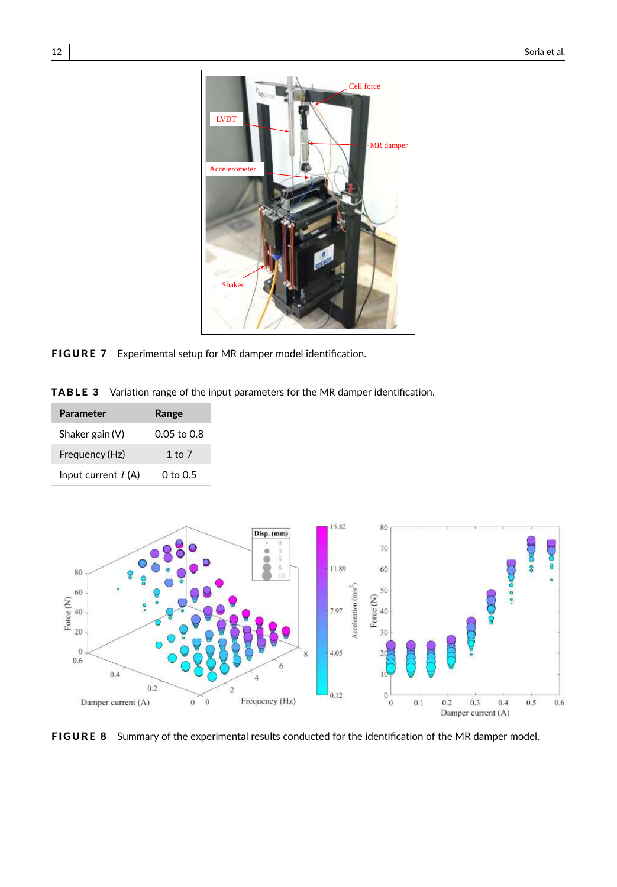<span id="page-11-0"></span>

FIGURE 7 Experimental setup for MR damper model identification.

<span id="page-11-1"></span>TABLE 3 Variation range of the input parameters for the MR damper identification.

| <b>Parameter</b>     | Range       |  |  |
|----------------------|-------------|--|--|
| Shaker gain $(V)$    | 0.05 to 0.8 |  |  |
| Frequency (Hz)       | 1 to $7$    |  |  |
| Input current $I(A)$ | 0 to 0.5    |  |  |

<span id="page-11-2"></span>

FIGURE 8 Summary of the experimental results conducted for the identification of the MR damper model.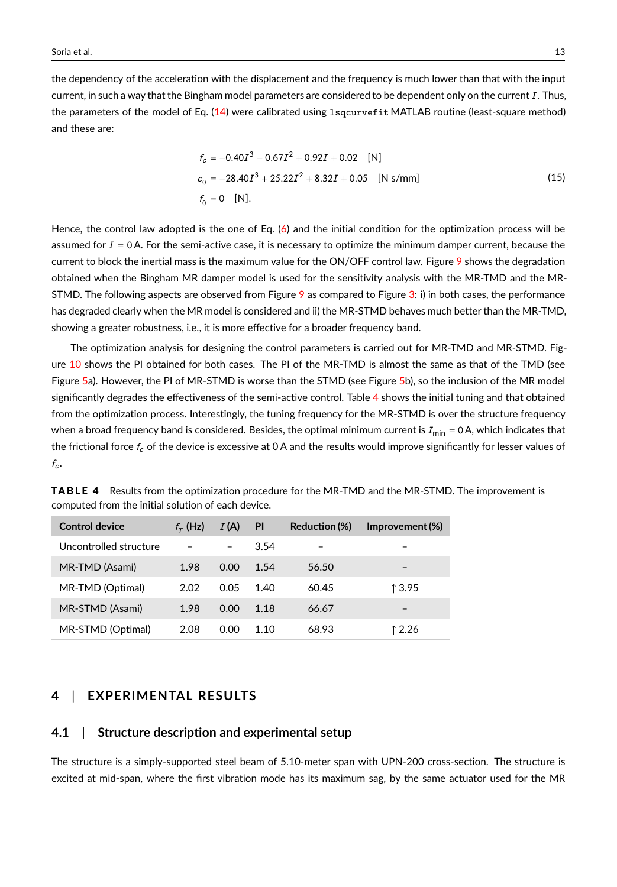the dependency of the acceleration with the displacement and the frequency is much lower than that with the input current, in such a way that the Bingham model parameters are considered to be dependent only on the current  $I$ . Thus, the parameters of the model of Eq. [\(14\)](#page-9-1) were calibrated using lsqcurvefit MATLAB routine (least-square method) and these are:

$$
f_c = -0.40I^3 - 0.67I^2 + 0.92I + 0.02 \quad [N]
$$
  
\n
$$
c_0 = -28.40I^3 + 25.22I^2 + 8.32I + 0.05 \quad [N \text{ s/mm}]
$$
  
\n
$$
f_0 = 0 \quad [N].
$$
\n(15)

Hence, the control law adopted is the one of Eq. [\(6\)](#page-4-2) and the initial condition for the optimization process will be assumed for  $I = 0$  A. For the semi-active case, it is necessary to optimize the minimum damper current, because the current to block the inertial mass is the maximum value for the ON/OFF control law. Figure [9](#page-13-0) shows the degradation obtained when the Bingham MR damper model is used for the sensitivity analysis with the MR-TMD and the MR-STMD. The following aspects are observed from Figure  $9$  as compared to Figure [3:](#page-7-0) i) in both cases, the performance has degraded clearly when the MR model is considered and ii) the MR-STMD behaves much better than the MR-TMD, showing a greater robustness, i.e., it is more effective for a broader frequency band.

The optimization analysis for designing the control parameters is carried out for MR-TMD and MR-STMD. Figure [10](#page-14-0) shows the PI obtained for both cases. The PI of the MR-TMD is almost the same as that of the TMD (see Figure [5a](#page-8-1)). However, the PI of MR-STMD is worse than the STMD (see Figure [5b](#page-8-1)), so the inclusion of the MR model significantly degrades the effectiveness of the semi-active control. Table [4](#page-12-0) shows the initial tuning and that obtained from the optimization process. Interestingly, the tuning frequency for the MR-STMD is over the structure frequency when a broad frequency band is considered. Besides, the optimal minimum current is  $I_{\text{min}} = 0$  A, which indicates that the frictional force  $f_c$  of the device is excessive at  $0 \text{ A}$  and the results would improve significantly for lesser values of  $f_c$ .

| <b>Control device</b>  | $f_{\tau}$ (Hz) | I(A)                     | <b>PI</b> | Reduction (%) | Improvement (%)          |
|------------------------|-----------------|--------------------------|-----------|---------------|--------------------------|
| Uncontrolled structure |                 | $\overline{\phantom{0}}$ | 3.54      |               |                          |
| MR-TMD (Asami)         | 1.98            | 0.00                     | 1.54      | 56.50         | $\overline{\phantom{0}}$ |
| MR-TMD (Optimal)       | 2.02            | 0.05                     | 1.40      | 60.45         | 13.95                    |
| MR-STMD (Asami)        | 1.98            | 0.00                     | 1.18      | 66.67         | -                        |
| MR-STMD (Optimal)      | 2.08            | 0.00                     | 1.10      | 68.93         | ↑2.26                    |

<span id="page-12-0"></span>TABLE 4 Results from the optimization procedure for the MR-TMD and the MR-STMD. The improvement is computed from the initial solution of each device.

## **4** | **EXPERIMENTAL RESULTS**

#### **4.1** | **Structure description and experimental setup**

The structure is a simply-supported steel beam of 5.10-meter span with UPN-200 cross-section. The structure is excited at mid-span, where the first vibration mode has its maximum sag, by the same actuator used for the MR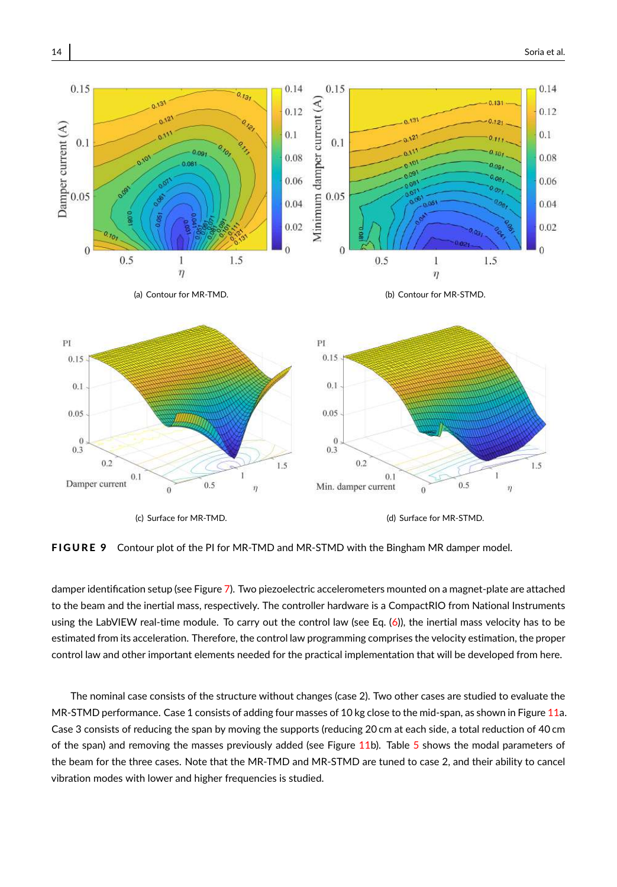<span id="page-13-0"></span>

FIGURE 9 Contour plot of the PI for MR-TMD and MR-STMD with the Bingham MR damper model.

damper identification setup (see Figure [7\)](#page-11-0). Two piezoelectric accelerometers mounted on a magnet-plate are attached to the beam and the inertial mass, respectively. The controller hardware is a CompactRIO from National Instruments using the LabVIEW real-time module. To carry out the control law (see Eq. [\(6\)](#page-4-2)), the inertial mass velocity has to be estimated from its acceleration. Therefore, the control law programming comprises the velocity estimation, the proper control law and other important elements needed for the practical implementation that will be developed from here.

The nominal case consists of the structure without changes (case 2). Two other cases are studied to evaluate the MR-STMD performance. Case 1 consists of adding four masses of 10 kg close to the mid-span, as shown in Figure [11a](#page-14-1). Case 3 consists of reducing the span by moving the supports (reducing 20 cm at each side, a total reduction of 40 cm of the span) and removing the masses previously added (see Figure [11b](#page-14-1)). Table [5](#page-14-2) shows the modal parameters of the beam for the three cases. Note that the MR-TMD and MR-STMD are tuned to case 2, and their ability to cancel vibration modes with lower and higher frequencies is studied.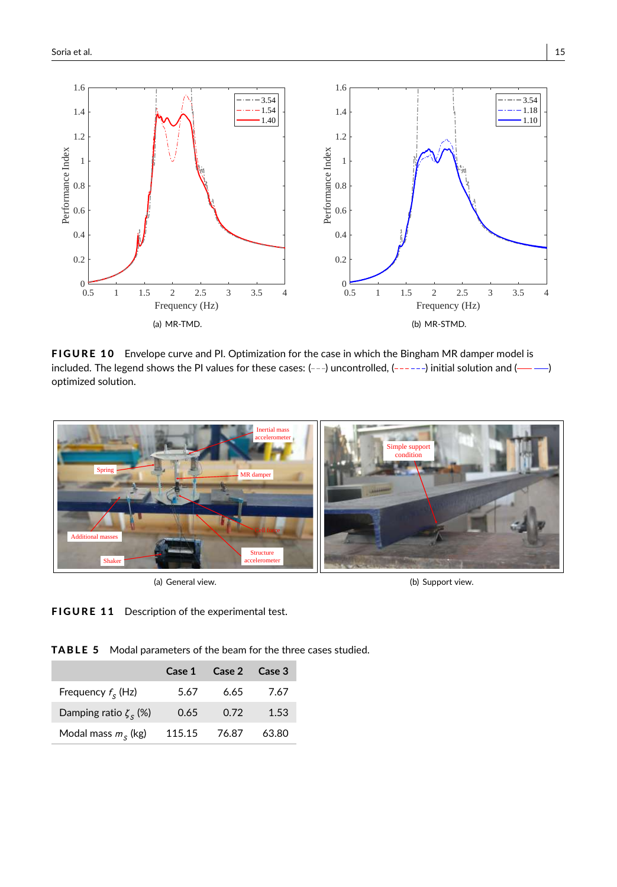<span id="page-14-0"></span>

FIGURE 10 Envelope curve and PI. Optimization for the case in which the Bingham MR damper model is included. The legend shows the PI values for these cases:  $(--)$  uncontrolled,  $(----)$  initial solution and  $(---)$ optimized solution.

<span id="page-14-1"></span>

(a) General view.

(b) Support view.

FIGURE 11 Description of the experimental test.

<span id="page-14-2"></span>TABLE 5 Modal parameters of the beam for the three cases studied.

|                             | Case 1 | Case 2 | Case 3 |
|-----------------------------|--------|--------|--------|
| Frequency $f_s$ (Hz)        | 5.67   | 6.65   | 7.67   |
| Damping ratio $\zeta_s$ (%) | 0.65   | 0.72   | 1.53   |
| Modal mass $ms$ (kg)        | 115.15 | 76.87  | 63.80  |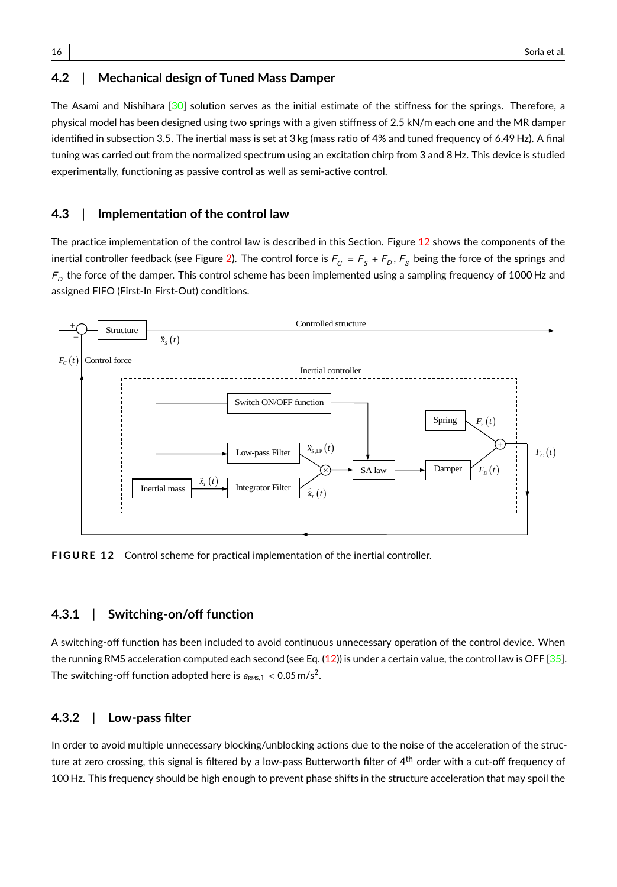## **4.2** | **Mechanical design of Tuned Mass Damper**

The Asami and Nishihara [\[30\]](#page-21-14) solution serves as the initial estimate of the stiffness for the springs. Therefore, a physical model has been designed using two springs with a given stiffness of 2.5 kN/m each one and the MR damper identified in subsection 3.5. The inertial mass is set at 3 kg (mass ratio of 4% and tuned frequency of 6.49 Hz). A final tuning was carried out from the normalized spectrum using an excitation chirp from 3 and 8 Hz. This device is studied experimentally, functioning as passive control as well as semi-active control.

#### **4.3** | **Implementation of the control law**

The practice implementation of the control law is described in this Section. Figure [12](#page-15-0) shows the components of the inertial controller feedback (see Figure [2\)](#page-4-0). The control force is  $F^-_C=F^-_S+F^-_D,F^-_S$  being the force of the springs and  $\bar{F}_{D}$  the force of the damper. This control scheme has been implemented using a sampling frequency of 1000 Hz and assigned FIFO (First-In First-Out) conditions.

<span id="page-15-0"></span>

**FIGURE 12** Control scheme for practical implementation of the inertial controller.

### **4.3.1** | **Switching-on/off function**

A switching-off function has been included to avoid continuous unnecessary operation of the control device. When the running RMS acceleration computed each second (see Eq.  $(12)$ ) is under a certain value, the control law is OFF  $[35]$ . The switching-off function adopted here is  $a_{\text{\tiny{RMS}},1} < 0.05 \,\text{m/s}^2$ .

#### **4.3.2** | **Low-pass filter**

In order to avoid multiple unnecessary blocking/unblocking actions due to the noise of the acceleration of the structure at zero crossing, this signal is filtered by a low-pass Butterworth filter of 4<sup>th</sup> order with a cut-off frequency of 100 Hz. This frequency should be high enough to prevent phase shifts in the structure acceleration that may spoil the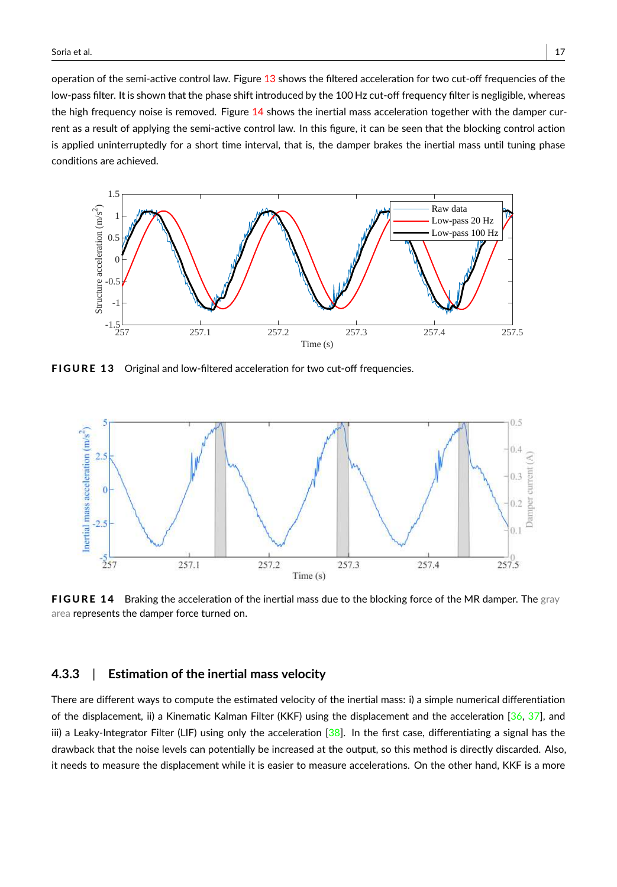operation of the semi-active control law. Figure [13](#page-16-0) shows the filtered acceleration for two cut-off frequencies of the low-pass filter. It is shown that the phase shift introduced by the 100 Hz cut-off frequency filter is negligible, whereas the high frequency noise is removed. Figure [14](#page-16-1) shows the inertial mass acceleration together with the damper current as a result of applying the semi-active control law. In this figure, it can be seen that the blocking control action is applied uninterruptedly for a short time interval, that is, the damper brakes the inertial mass until tuning phase conditions are achieved.

<span id="page-16-0"></span>

FIGURE 13 Original and low-filtered acceleration for two cut-off frequencies.

<span id="page-16-1"></span>

FIGURE 14 Braking the acceleration of the inertial mass due to the blocking force of the MR damper. The gray area represents the damper force turned on.

#### **4.3.3** | **Estimation of the inertial mass velocity**

There are different ways to compute the estimated velocity of the inertial mass: i) a simple numerical differentiation of the displacement, ii) a Kinematic Kalman Filter (KKF) using the displacement and the acceleration [\[36,](#page-22-0) [37\]](#page-22-1), and iii) a Leaky-Integrator Filter (LIF) using only the acceleration  $[38]$ . In the first case, differentiating a signal has the drawback that the noise levels can potentially be increased at the output, so this method is directly discarded. Also, it needs to measure the displacement while it is easier to measure accelerations. On the other hand, KKF is a more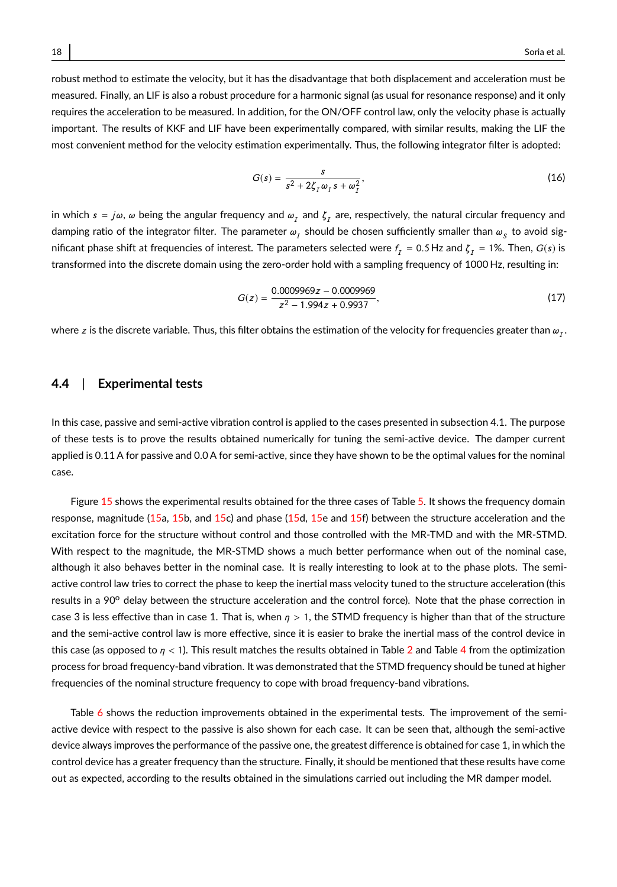robust method to estimate the velocity, but it has the disadvantage that both displacement and acceleration must be measured. Finally, an LIF is also a robust procedure for a harmonic signal (as usual for resonance response) and it only requires the acceleration to be measured. In addition, for the ON/OFF control law, only the velocity phase is actually important. The results of KKF and LIF have been experimentally compared, with similar results, making the LIF the most convenient method for the velocity estimation experimentally. Thus, the following integrator filter is adopted:

$$
G(s) = \frac{s}{s^2 + 2\zeta_I \omega_I s + \omega_I^2},
$$
\n(16)

in which  $s=j\omega, \omega$  being the angular frequency and  $\omega_I$  and  $\zeta_I$  are, respectively, the natural circular frequency and damping ratio of the integrator filter. The parameter  $\omega_{_I}$  should be chosen sufficiently smaller than  $\omega_{_S}$  to avoid significant phase shift at frequencies of interest. The parameters selected were  $f_I = 0.5$  Hz and  $\zeta_I = 1\%$ . Then,  $G(s)$  is transformed into the discrete domain using the zero-order hold with a sampling frequency of 1000 Hz, resulting in:

$$
G(z) = \frac{0.0009969z - 0.0009969}{z^2 - 1.994z + 0.9937},
$$
\n(17)

where  $z$  is the discrete variable. Thus, this filter obtains the estimation of the velocity for frequencies greater than  $\omega_I.$ 

#### **4.4** | **Experimental tests**

In this case, passive and semi-active vibration control is applied to the cases presented in subsection 4.1. The purpose of these tests is to prove the results obtained numerically for tuning the semi-active device. The damper current applied is 0.11 A for passive and 0.0 A for semi-active, since they have shown to be the optimal values for the nominal case.

Figure [15](#page-18-0) shows the experimental results obtained for the three cases of Table [5.](#page-14-2) It shows the frequency domain response, magnitude [\(15a](#page-18-0), [15b](#page-18-0), and [15c](#page-18-0)) and phase [\(15d](#page-18-0), [15e](#page-18-0) and [15f](#page-18-0)) between the structure acceleration and the excitation force for the structure without control and those controlled with the MR-TMD and with the MR-STMD. With respect to the magnitude, the MR-STMD shows a much better performance when out of the nominal case, although it also behaves better in the nominal case. It is really interesting to look at to the phase plots. The semiactive control law tries to correct the phase to keep the inertial mass velocity tuned to the structure acceleration (this results in a 90° delay between the structure acceleration and the control force). Note that the phase correction in case 3 is less effective than in case 1. That is, when  $\eta > 1$ , the STMD frequency is higher than that of the structure and the semi-active control law is more effective, since it is easier to brake the inertial mass of the control device in this case (as opposed to  $\eta$  < 1). This result matches the results obtained in Table [2](#page-9-0) and Table [4](#page-12-0) from the optimization process for broad frequency-band vibration. It was demonstrated that the STMD frequency should be tuned at higher frequencies of the nominal structure frequency to cope with broad frequency-band vibrations.

Table [6](#page-18-1) shows the reduction improvements obtained in the experimental tests. The improvement of the semiactive device with respect to the passive is also shown for each case. It can be seen that, although the semi-active device always improves the performance of the passive one, the greatest difference is obtained for case 1, in which the control device has a greater frequency than the structure. Finally, it should be mentioned that these results have come out as expected, according to the results obtained in the simulations carried out including the MR damper model.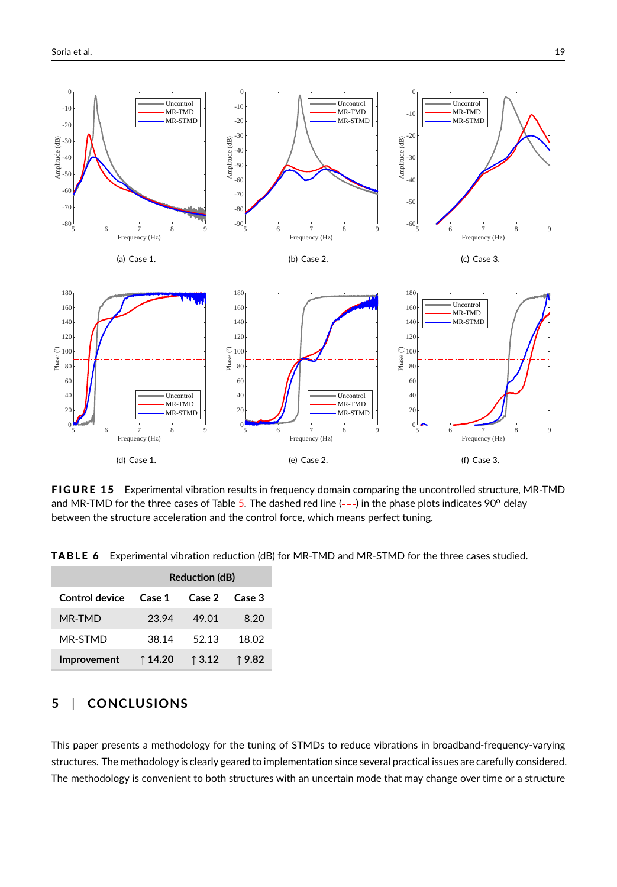<span id="page-18-0"></span>

FIGURE 15 Experimental vibration results in frequency domain comparing the uncontrolled structure, MR-TMD and MR-TMD for the three cases of Table [5.](#page-14-2) The dashed red line  $(--)$  in the phase plots indicates 90 $^{\circ}$  delay between the structure acceleration and the control force, which means perfect tuning.

<span id="page-18-1"></span>TABLE 6 Experimental vibration reduction (dB) for MR-TMD and MR-STMD for the three cases studied.

|                | <b>Reduction (dB)</b> |                 |                 |  |
|----------------|-----------------------|-----------------|-----------------|--|
| Control device | Case 1                | Case 2          | Case 3          |  |
| MR-TMD         | 23.94                 | 49.01           | 8.20            |  |
| MR-STMD        | 38.14                 | 52.13           | 18.02           |  |
| Improvement    | ↑14.20                | $\uparrow$ 3.12 | $\uparrow$ 9.82 |  |

# **5** | **CONCLUSIONS**

This paper presents a methodology for the tuning of STMDs to reduce vibrations in broadband-frequency-varying structures. The methodology is clearly geared to implementation since several practical issues are carefully considered. The methodology is convenient to both structures with an uncertain mode that may change over time or a structure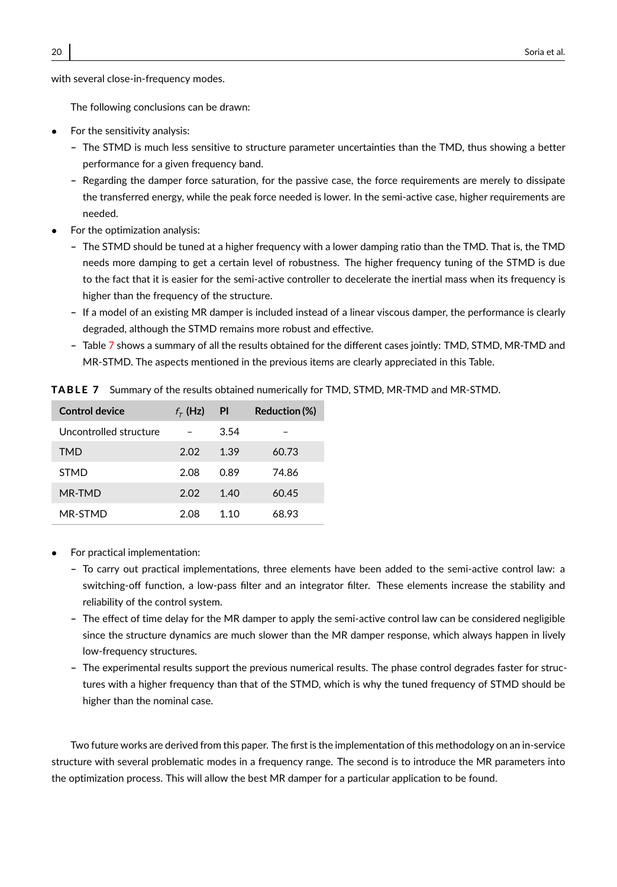with several close-in-frequency modes.

The following conclusions can be drawn:

- For the sensitivity analysis:
	- **–** The STMD is much less sensitive to structure parameter uncertainties than the TMD, thus showing a better performance for a given frequency band.
	- **–** Regarding the damper force saturation, for the passive case, the force requirements are merely to dissipate the transferred energy, while the peak force needed is lower. In the semi-active case, higher requirements are needed.
- For the optimization analysis:
	- **–** The STMD should be tuned at a higher frequency with a lower damping ratio than the TMD. That is, the TMD needs more damping to get a certain level of robustness. The higher frequency tuning of the STMD is due to the fact that it is easier for the semi-active controller to decelerate the inertial mass when its frequency is higher than the frequency of the structure.
	- **–** If a model of an existing MR damper is included instead of a linear viscous damper, the performance is clearly degraded, although the STMD remains more robust and effective.
	- **–** Table [7](#page-19-0) shows a summary of all the results obtained for the different cases jointly: TMD, STMD, MR-TMD and MR-STMD. The aspects mentioned in the previous items are clearly appreciated in this Table.

| Control device         | $f_{\tau}$ (Hz) | PI    | Reduction (%) |
|------------------------|-----------------|-------|---------------|
| Uncontrolled structure |                 | 3.54  |               |
| TMD                    | 2.02            | 1.39  | 60.73         |
| <b>STMD</b>            | 2.08            | 0.89  | 74.86         |
| MR-TMD                 | 2.02            | 1.40  | 60.45         |
| MR-STMD                | 2.08            | 1 1 0 | 68.93         |

<span id="page-19-0"></span>**TABLE 7** Summary of the results obtained numerically for TMD, STMD, MR-TMD and MR-STMD.

- For practical implementation:
	- **–** To carry out practical implementations, three elements have been added to the semi-active control law: a switching-off function, a low-pass filter and an integrator filter. These elements increase the stability and reliability of the control system.
	- **–** The effect of time delay for the MR damper to apply the semi-active control law can be considered negligible since the structure dynamics are much slower than the MR damper response, which always happen in lively low-frequency structures.
	- **–** The experimental results support the previous numerical results. The phase control degrades faster for structures with a higher frequency than that of the STMD, which is why the tuned frequency of STMD should be higher than the nominal case.

Two future works are derived from this paper. The first is the implementation of this methodology on an in-service structure with several problematic modes in a frequency range. The second is to introduce the MR parameters into the optimization process. This will allow the best MR damper for a particular application to be found.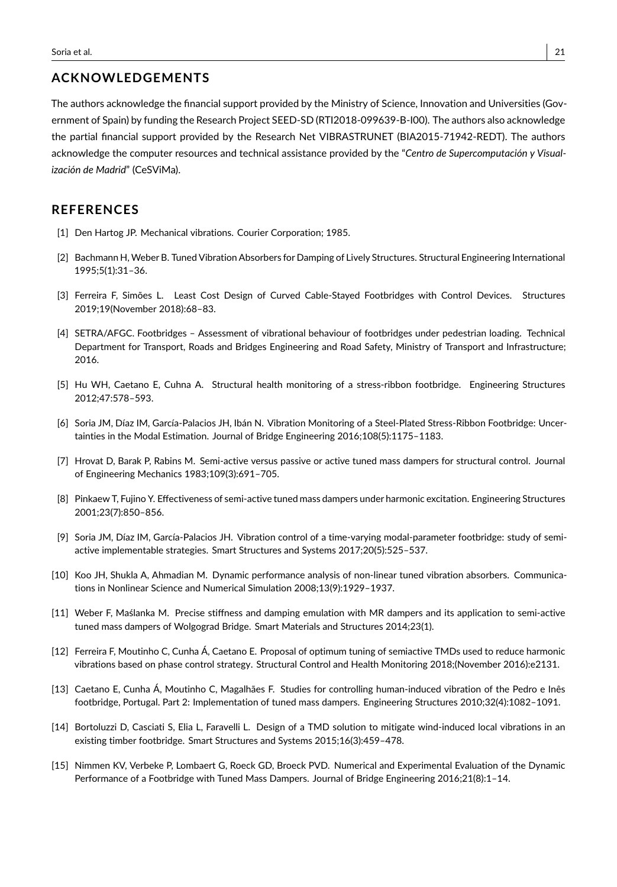## **ACKNOWLEDGEMENTS**

The authors acknowledge the financial support provided by the Ministry of Science, Innovation and Universities (Government of Spain) by funding the Research Project SEED-SD (RTI2018-099639-B-I00). The authors also acknowledge the partial financial support provided by the Research Net VIBRASTRUNET (BIA2015-71942-REDT). The authors acknowledge the computer resources and technical assistance provided by the "*Centro de Supercomputación y Visualización de Madrid*" (CeSViMa).

## **REFERENCES**

- <span id="page-20-0"></span>[1] Den Hartog JP. Mechanical vibrations. Courier Corporation; 1985.
- <span id="page-20-1"></span>[2] Bachmann H, Weber B. Tuned Vibration Absorbers for Damping of Lively Structures. Structural Engineering International 1995;5(1):31–36.
- <span id="page-20-2"></span>[3] Ferreira F, Simões L. Least Cost Design of Curved Cable-Stayed Footbridges with Control Devices. Structures 2019;19(November 2018):68–83.
- <span id="page-20-3"></span>[4] SETRA/AFGC. Footbridges – Assessment of vibrational behaviour of footbridges under pedestrian loading. Technical Department for Transport, Roads and Bridges Engineering and Road Safety, Ministry of Transport and Infrastructure; 2016.
- <span id="page-20-4"></span>[5] Hu WH, Caetano E, Cuhna A. Structural health monitoring of a stress-ribbon footbridge. Engineering Structures 2012;47:578–593.
- <span id="page-20-5"></span>[6] Soria JM, Díaz IM, García-Palacios JH, Ibán N. Vibration Monitoring of a Steel-Plated Stress-Ribbon Footbridge: Uncertainties in the Modal Estimation. Journal of Bridge Engineering 2016;108(5):1175–1183.
- <span id="page-20-6"></span>[7] Hrovat D, Barak P, Rabins M. Semi-active versus passive or active tuned mass dampers for structural control. Journal of Engineering Mechanics 1983;109(3):691–705.
- <span id="page-20-7"></span>[8] Pinkaew T, Fujino Y. Effectiveness of semi-active tuned mass dampers under harmonic excitation. Engineering Structures 2001;23(7):850–856.
- <span id="page-20-8"></span>[9] Soria JM, Díaz IM, García-Palacios JH. Vibration control of a time-varying modal-parameter footbridge: study of semiactive implementable strategies. Smart Structures and Systems 2017;20(5):525–537.
- <span id="page-20-9"></span>[10] Koo JH, Shukla A, Ahmadian M. Dynamic performance analysis of non-linear tuned vibration absorbers. Communications in Nonlinear Science and Numerical Simulation 2008;13(9):1929–1937.
- <span id="page-20-10"></span>[11] Weber F, Maślanka M. Precise stiffness and damping emulation with MR dampers and its application to semi-active tuned mass dampers of Wolgograd Bridge. Smart Materials and Structures 2014;23(1).
- <span id="page-20-11"></span>[12] Ferreira F, Moutinho C, Cunha Á, Caetano E. Proposal of optimum tuning of semiactive TMDs used to reduce harmonic vibrations based on phase control strategy. Structural Control and Health Monitoring 2018;(November 2016):e2131.
- <span id="page-20-12"></span>[13] Caetano E, Cunha Á, Moutinho C, Magalhães F. Studies for controlling human-induced vibration of the Pedro e Inês footbridge, Portugal. Part 2: Implementation of tuned mass dampers. Engineering Structures 2010;32(4):1082–1091.
- <span id="page-20-13"></span>[14] Bortoluzzi D, Casciati S, Elia L, Faravelli L. Design of a TMD solution to mitigate wind-induced local vibrations in an existing timber footbridge. Smart Structures and Systems 2015;16(3):459–478.
- <span id="page-20-14"></span>[15] Nimmen KV, Verbeke P, Lombaert G, Roeck GD, Broeck PVD. Numerical and Experimental Evaluation of the Dynamic Performance of a Footbridge with Tuned Mass Dampers. Journal of Bridge Engineering 2016;21(8):1–14.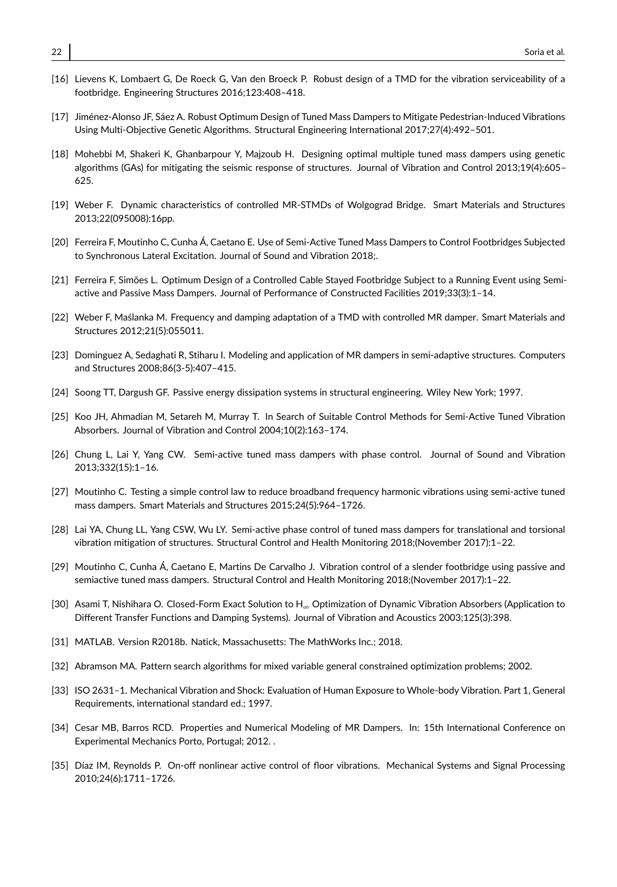- <span id="page-21-0"></span>[16] Lievens K, Lombaert G, De Roeck G, Van den Broeck P. Robust design of a TMD for the vibration serviceability of a footbridge. Engineering Structures 2016;123:408–418.
- <span id="page-21-1"></span>[17] Jiménez-Alonso JF, Sáez A. Robust Optimum Design of Tuned Mass Dampers to Mitigate Pedestrian-Induced Vibrations Using Multi-Objective Genetic Algorithms. Structural Engineering International 2017;27(4):492–501.
- <span id="page-21-2"></span>[18] Mohebbi M, Shakeri K, Ghanbarpour Y, Majzoub H. Designing optimal multiple tuned mass dampers using genetic algorithms (GAs) for mitigating the seismic response of structures. Journal of Vibration and Control 2013;19(4):605– 625.
- <span id="page-21-3"></span>[19] Weber F. Dynamic characteristics of controlled MR-STMDs of Wolgograd Bridge. Smart Materials and Structures 2013;22(095008):16pp.
- <span id="page-21-4"></span>[20] Ferreira F, Moutinho C, Cunha Á, Caetano E. Use of Semi-Active Tuned Mass Dampers to Control Footbridges Subjected to Synchronous Lateral Excitation. Journal of Sound and Vibration 2018;.
- <span id="page-21-5"></span>[21] Ferreira F, Simões L. Optimum Design of a Controlled Cable Stayed Footbridge Subject to a Running Event using Semiactive and Passive Mass Dampers. Journal of Performance of Constructed Facilities 2019;33(3):1–14.
- <span id="page-21-6"></span>[22] Weber F, Maślanka M. Frequency and damping adaptation of a TMD with controlled MR damper. Smart Materials and Structures 2012;21(5):055011.
- <span id="page-21-7"></span>[23] Dominguez A, Sedaghati R, Stiharu I. Modeling and application of MR dampers in semi-adaptive structures. Computers and Structures 2008;86(3-5):407–415.
- <span id="page-21-8"></span>[24] Soong TT, Dargush GF. Passive energy dissipation systems in structural engineering. Wiley New York; 1997.
- <span id="page-21-9"></span>[25] Koo JH, Ahmadian M, Setareh M, Murray T. In Search of Suitable Control Methods for Semi-Active Tuned Vibration Absorbers. Journal of Vibration and Control 2004;10(2):163–174.
- <span id="page-21-10"></span>[26] Chung L, Lai Y, Yang CW. Semi-active tuned mass dampers with phase control. Journal of Sound and Vibration 2013;332(15):1–16.
- <span id="page-21-11"></span>[27] Moutinho C. Testing a simple control law to reduce broadband frequency harmonic vibrations using semi-active tuned mass dampers. Smart Materials and Structures 2015;24(5):964–1726.
- <span id="page-21-12"></span>[28] Lai YA, Chung LL, Yang CSW, Wu LY. Semi-active phase control of tuned mass dampers for translational and torsional vibration mitigation of structures. Structural Control and Health Monitoring 2018;(November 2017):1–22.
- <span id="page-21-13"></span>[29] Moutinho C, Cunha Á, Caetano E, Martins De Carvalho J. Vibration control of a slender footbridge using passive and semiactive tuned mass dampers. Structural Control and Health Monitoring 2018;(November 2017):1–22.
- <span id="page-21-14"></span>[30] Asami T, Nishihara O. Closed-Form Exact Solution to H<sup>∞</sup> Optimization of Dynamic Vibration Absorbers (Application to Different Transfer Functions and Damping Systems). Journal of Vibration and Acoustics 2003;125(3):398.
- <span id="page-21-15"></span>[31] MATLAB. Version R2018b. Natick, Massachusetts: The MathWorks Inc.; 2018.
- <span id="page-21-16"></span>[32] Abramson MA. Pattern search algorithms for mixed variable general constrained optimization problems; 2002.
- <span id="page-21-17"></span>[33] ISO 2631–1. Mechanical Vibration and Shock: Evaluation of Human Exposure to Whole-body Vibration. Part 1, General Requirements, international standard ed.; 1997.
- <span id="page-21-18"></span>[34] Cesar MB, Barros RCD. Properties and Numerical Modeling of MR Dampers. In: 15th International Conference on Experimental Mechanics Porto, Portugal; 2012. .
- <span id="page-21-19"></span>[35] Díaz IM, Reynolds P. On-off nonlinear active control of floor vibrations. Mechanical Systems and Signal Processing 2010;24(6):1711–1726.